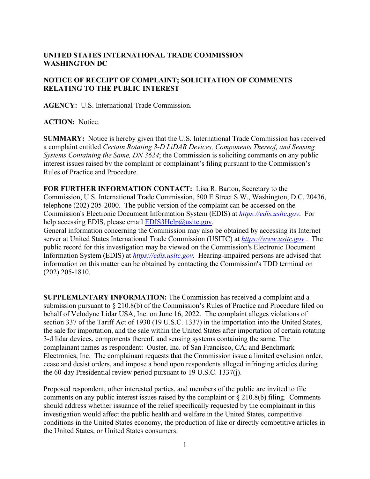## **UNITED STATES INTERNATIONAL TRADE COMMISSION WASHINGTON DC**

## **NOTICE OF RECEIPT OF COMPLAINT; SOLICITATION OF COMMENTS RELATING TO THE PUBLIC INTEREST**

**AGENCY:** U.S. International Trade Commission.

**ACTION:** Notice.

**SUMMARY:** Notice is hereby given that the U.S. International Trade Commission has received a complaint entitled *Certain Rotating 3-D LiDAR Devices, Components Thereof, and Sensing Systems Containing the Same, DN 3624*; the Commission is soliciting comments on any public interest issues raised by the complaint or complainant's filing pursuant to the Commission's Rules of Practice and Procedure.

**FOR FURTHER INFORMATION CONTACT:** Lisa R. Barton, Secretary to the Commission, U.S. International Trade Commission, 500 E Street S.W., Washington, D.C. 20436, telephone (202) 205-2000. The public version of the complaint can be accessed on the Commission's Electronic Document Information System (EDIS) at *[https://edis.usitc.gov](https://edis.usitc.gov/)*. For help accessing EDIS, please email [EDIS3Help@usitc.gov.](mailto:EDIS3Help@usitc.gov)

General information concerning the Commission may also be obtained by accessing its Internet server at United States International Trade Commission (USITC) at *[https://www.usitc.gov](https://www.usitc.gov/)* . The public record for this investigation may be viewed on the Commission's Electronic Document Information System (EDIS) at *[https://edis.usitc.gov.](https://edis.usitc.gov/)* Hearing-impaired persons are advised that information on this matter can be obtained by contacting the Commission's TDD terminal on (202) 205-1810.

**SUPPLEMENTARY INFORMATION:** The Commission has received a complaint and a submission pursuant to § 210.8(b) of the Commission's Rules of Practice and Procedure filed on behalf of Velodyne Lidar USA, Inc. on June 16, 2022. The complaint alleges violations of section 337 of the Tariff Act of 1930 (19 U.S.C. 1337) in the importation into the United States, the sale for importation, and the sale within the United States after importation of certain rotating 3-d lidar devices, components thereof, and sensing systems containing the same. The complainant names as respondent: Ouster, Inc. of San Francisco, CA; and Benchmark Electronics, Inc. The complainant requests that the Commission issue a limited exclusion order, cease and desist orders, and impose a bond upon respondents alleged infringing articles during the 60-day Presidential review period pursuant to 19 U.S.C. 1337(j).

Proposed respondent, other interested parties, and members of the public are invited to file comments on any public interest issues raised by the complaint or  $\S 210.8(b)$  filing. Comments should address whether issuance of the relief specifically requested by the complainant in this investigation would affect the public health and welfare in the United States, competitive conditions in the United States economy, the production of like or directly competitive articles in the United States, or United States consumers.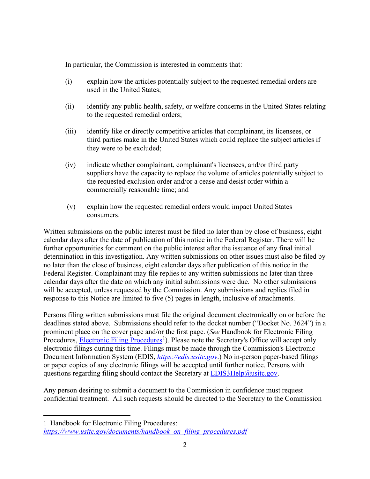In particular, the Commission is interested in comments that:

- (i) explain how the articles potentially subject to the requested remedial orders are used in the United States;
- (ii) identify any public health, safety, or welfare concerns in the United States relating to the requested remedial orders;
- (iii) identify like or directly competitive articles that complainant, its licensees, or third parties make in the United States which could replace the subject articles if they were to be excluded;
- (iv) indicate whether complainant, complainant's licensees, and/or third party suppliers have the capacity to replace the volume of articles potentially subject to the requested exclusion order and/or a cease and desist order within a commercially reasonable time; and
- (v) explain how the requested remedial orders would impact United States consumers.

Written submissions on the public interest must be filed no later than by close of business, eight calendar days after the date of publication of this notice in the Federal Register. There will be further opportunities for comment on the public interest after the issuance of any final initial determination in this investigation. Any written submissions on other issues must also be filed by no later than the close of business, eight calendar days after publication of this notice in the Federal Register. Complainant may file replies to any written submissions no later than three calendar days after the date on which any initial submissions were due. No other submissions will be accepted, unless requested by the Commission. Any submissions and replies filed in response to this Notice are limited to five (5) pages in length, inclusive of attachments.

Persons filing written submissions must file the original document electronically on or before the deadlines stated above. Submissions should refer to the docket number ("Docket No. 3624") in a prominent place on the cover page and/or the first page. (*See* Handbook for Electronic Filing Procedures, **Electronic Filing Procedures**<sup>[1](#page-1-0)</sup>). Please note the Secretary's Office will accept only electronic filings during this time. Filings must be made through the Commission's Electronic Document Information System (EDIS, *[https://edis.usitc.gov](https://edis.usitc.gov/)*.) No in-person paper-based filings or paper copies of any electronic filings will be accepted until further notice. Persons with questions regarding filing should contact the Secretary at  $EDIS3Help@usitc.gov$ .

Any person desiring to submit a document to the Commission in confidence must request confidential treatment. All such requests should be directed to the Secretary to the Commission

<span id="page-1-0"></span><sup>1</sup> Handbook for Electronic Filing Procedures: *[https://www.usitc.gov/documents/handbook\\_on\\_filing\\_procedures.pdf](https://www.usitc.gov/documents/handbook_on_filing_procedures.pdf)*